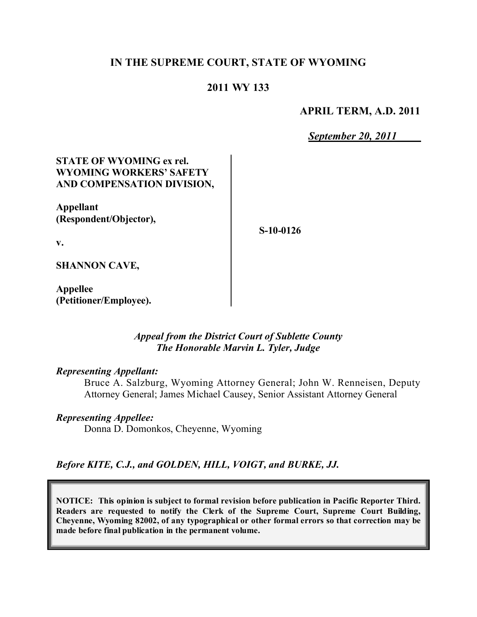# **IN THE SUPREME COURT, STATE OF WYOMING**

## **2011 WY 133**

### **APRIL TERM, A.D. 2011**

*September 20, 2011*

# **STATE OF WYOMING ex rel. WYOMING WORKERS' SAFETY AND COMPENSATION DIVISION,**

**Appellant (Respondent/Objector),**

**S-10-0126**

**v.**

**SHANNON CAVE,**

**Appellee (Petitioner/Employee).**

## *Appeal from the District Court of Sublette County The Honorable Marvin L. Tyler, Judge*

#### *Representing Appellant:*

Bruce A. Salzburg, Wyoming Attorney General; John W. Renneisen, Deputy Attorney General; James Michael Causey, Senior Assistant Attorney General

#### *Representing Appellee:*

Donna D. Domonkos, Cheyenne, Wyoming

### *Before KITE, C.J., and GOLDEN, HILL, VOIGT, and BURKE, JJ.*

**NOTICE: This opinion is subject to formal revision before publication in Pacific Reporter Third. Readers are requested to notify the Clerk of the Supreme Court, Supreme Court Building, Cheyenne, Wyoming 82002, of any typographical or other formal errors so that correction may be made before final publication in the permanent volume.**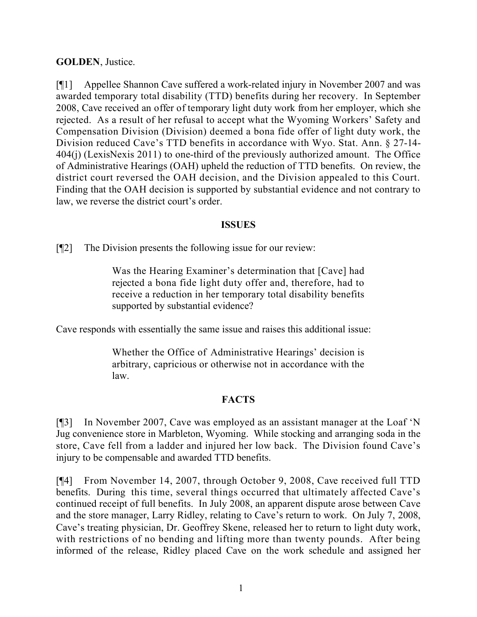# **GOLDEN**, Justice.

[¶1] Appellee Shannon Cave suffered a work-related injury in November 2007 and was awarded temporary total disability (TTD) benefits during her recovery. In September 2008, Cave received an offer of temporary light duty work from her employer, which she rejected. As a result of her refusal to accept what the Wyoming Workers' Safety and Compensation Division (Division) deemed a bona fide offer of light duty work, the Division reduced Cave's TTD benefits in accordance with Wyo. Stat. Ann. § 27-14- 404(j) (LexisNexis 2011) to one-third of the previously authorized amount. The Office of Administrative Hearings (OAH) upheld the reduction of TTD benefits. On review, the district court reversed the OAH decision, and the Division appealed to this Court. Finding that the OAH decision is supported by substantial evidence and not contrary to law, we reverse the district court's order.

# **ISSUES**

[¶2] The Division presents the following issue for our review:

Was the Hearing Examiner's determination that [Cave] had rejected a bona fide light duty offer and, therefore, had to receive a reduction in her temporary total disability benefits supported by substantial evidence?

Cave responds with essentially the same issue and raises this additional issue:

Whether the Office of Administrative Hearings' decision is arbitrary, capricious or otherwise not in accordance with the law.

# **FACTS**

[¶3] In November 2007, Cave was employed as an assistant manager at the Loaf 'N Jug convenience store in Marbleton, Wyoming. While stocking and arranging soda in the store, Cave fell from a ladder and injured her low back. The Division found Cave's injury to be compensable and awarded TTD benefits.

[¶4] From November 14, 2007, through October 9, 2008, Cave received full TTD benefits. During this time, several things occurred that ultimately affected Cave's continued receipt of full benefits. In July 2008, an apparent dispute arose between Cave and the store manager, Larry Ridley, relating to Cave's return to work. On July 7, 2008, Cave's treating physician, Dr. Geoffrey Skene, released her to return to light duty work, with restrictions of no bending and lifting more than twenty pounds. After being informed of the release, Ridley placed Cave on the work schedule and assigned her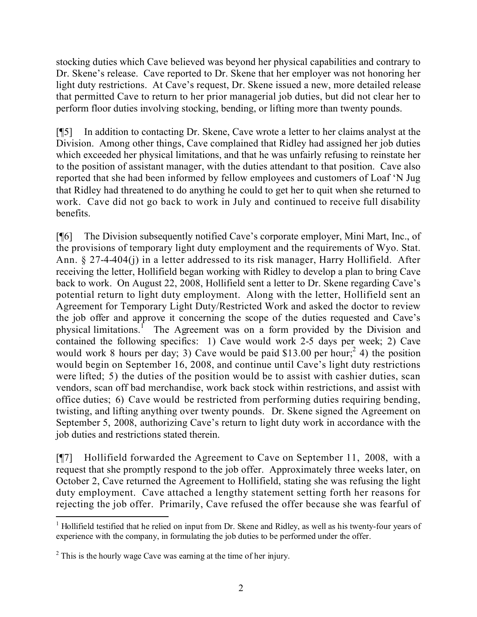stocking duties which Cave believed was beyond her physical capabilities and contrary to Dr. Skene's release. Cave reported to Dr. Skene that her employer was not honoring her light duty restrictions. At Cave's request, Dr. Skene issued a new, more detailed release that permitted Cave to return to her prior managerial job duties, but did not clear her to perform floor duties involving stocking, bending, or lifting more than twenty pounds.

[¶5] In addition to contacting Dr. Skene, Cave wrote a letter to her claims analyst at the Division. Among other things, Cave complained that Ridley had assigned her job duties which exceeded her physical limitations, and that he was unfairly refusing to reinstate her to the position of assistant manager, with the duties attendant to that position. Cave also reported that she had been informed by fellow employees and customers of Loaf 'N Jug that Ridley had threatened to do anything he could to get her to quit when she returned to work. Cave did not go back to work in July and continued to receive full disability benefits.

[¶6] The Division subsequently notified Cave's corporate employer, Mini Mart, Inc., of the provisions of temporary light duty employment and the requirements of Wyo. Stat. Ann. § 27-4-404(j) in a letter addressed to its risk manager, Harry Hollifield. After receiving the letter, Hollifield began working with Ridley to develop a plan to bring Cave back to work. On August 22, 2008, Hollifield sent a letter to Dr. Skene regarding Cave's potential return to light duty employment. Along with the letter, Hollifield sent an Agreement for Temporary Light Duty/Restricted Work and asked the doctor to review the job offer and approve it concerning the scope of the duties requested and Cave's physical limitations.<sup>1</sup> The Agreement was on a form provided by the Division and contained the following specifics: 1) Cave would work 2-5 days per week; 2) Cave would work 8 hours per day; 3) Cave would be paid \$13.00 per hour;  $2^{2}$  4) the position would begin on September 16, 2008, and continue until Cave's light duty restrictions were lifted; 5) the duties of the position would be to assist with cashier duties, scan vendors, scan off bad merchandise, work back stock within restrictions, and assist with office duties; 6) Cave would be restricted from performing duties requiring bending, twisting, and lifting anything over twenty pounds. Dr. Skene signed the Agreement on September 5, 2008, authorizing Cave's return to light duty work in accordance with the job duties and restrictions stated therein.

[¶7] Hollifield forwarded the Agreement to Cave on September 11, 2008, with a request that she promptly respond to the job offer. Approximately three weeks later, on October 2, Cave returned the Agreement to Hollifield, stating she was refusing the light duty employment. Cave attached a lengthy statement setting forth her reasons for rejecting the job offer. Primarily, Cave refused the offer because she was fearful of

 $\overline{a}$ <sup>1</sup> Hollifield testified that he relied on input from Dr. Skene and Ridley, as well as his twenty-four years of experience with the company, in formulating the job duties to be performed under the offer.

<sup>&</sup>lt;sup>2</sup> This is the hourly wage Cave was earning at the time of her injury.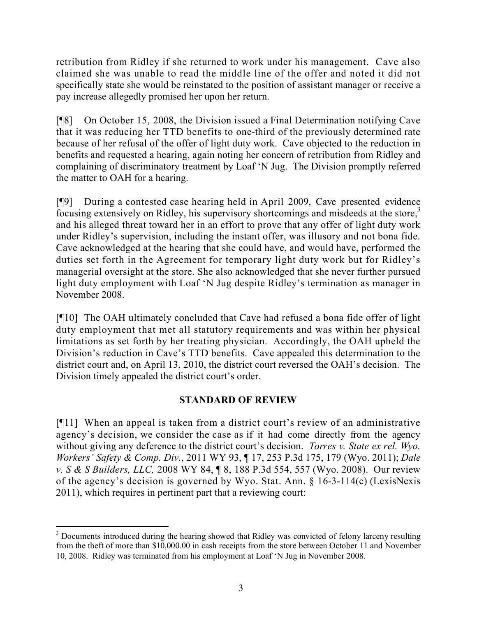retribution from Ridley if she returned to work under his management. Cave also claimed she was unable to read the middle line of the offer and noted it did not specifically state she would be reinstated to the position of assistant manager or receive a pay increase allegedly promised her upon her return.

[¶8] On October 15, 2008, the Division issued a Final Determination notifying Cave that it was reducing her TTD benefits to one-third of the previously determined rate because of her refusal of the offer of light duty work. Cave objected to the reduction in benefits and requested a hearing, again noting her concern of retribution from Ridley and complaining of discriminatory treatment by Loaf 'N Jug. The Division promptly referred the matter to OAH for a hearing.

[¶9] During a contested case hearing held in April 2009, Cave presented evidence focusing extensively on Ridley, his supervisory shortcomings and misdeeds at the store,<sup>3</sup> and his alleged threat toward her in an effort to prove that any offer of light duty work under Ridley's supervision, including the instant offer, was illusory and not bona fide. Cave acknowledged at the hearing that she could have, and would have, performed the duties set forth in the Agreement for temporary light duty work but for Ridley's managerial oversight at the store. She also acknowledged that she never further pursued light duty employment with Loaf 'N Jug despite Ridley's termination as manager in November 2008.

[¶10] The OAH ultimately concluded that Cave had refused a bona fide offer of light duty employment that met all statutory requirements and was within her physical limitations as set forth by her treating physician. Accordingly, the OAH upheld the Division's reduction in Cave's TTD benefits. Cave appealed this determination to the district court and, on April 13, 2010, the district court reversed the OAH's decision. The Division timely appealed the district court's order.

# **STANDARD OF REVIEW**

[¶11] When an appeal is taken from a district court's review of an administrative agency's decision, we consider the case as if it had come directly from the agency without giving any deference to the district court's decision. *Torres v. State ex rel. Wyo. Workers' Safety & Comp. Div.*, 2011 WY 93, ¶ 17, 253 P.3d 175, 179 (Wyo. 2011); *Dale v. S & S Builders, LLC,* 2008 WY 84, ¶ 8, 188 P.3d 554, 557 (Wyo. 2008). Our review of the agency's decision is governed by Wyo. Stat. Ann. § 16-3-114(c) (LexisNexis 2011), which requires in pertinent part that a reviewing court:

 <sup>3</sup> Documents introduced during the hearing showed that Ridley was convicted of felony larceny resulting from the theft of more than \$10,000.00 in cash receipts from the store between October 11 and November 10, 2008. Ridley was terminated from his employment at Loaf 'N Jug in November 2008.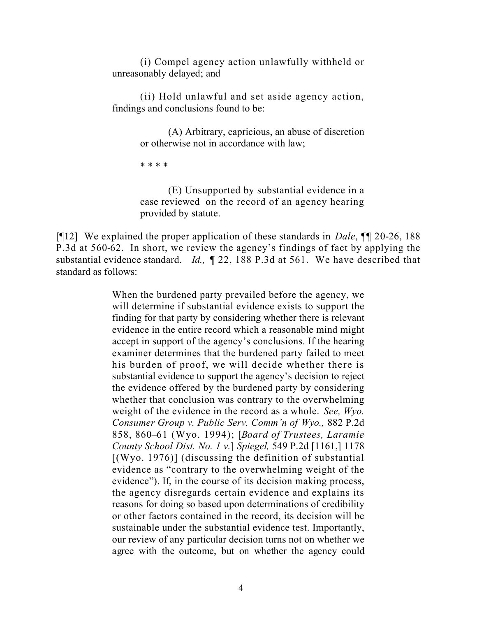(i) Compel agency action unlawfully withheld or unreasonably delayed; and

(ii) Hold unlawful and set aside agency action, findings and conclusions found to be:

> (A) Arbitrary, capricious, an abuse of discretion or otherwise not in accordance with law;

\* \* \* \*

(E) Unsupported by substantial evidence in a case reviewed on the record of an agency hearing provided by statute.

[¶12] We explained the proper application of these standards in *Dale*, ¶¶ 20-26, 188 P.3d at 560-62. In short, we review the agency's findings of fact by applying the substantial evidence standard. *Id.,* ¶ 22, 188 P.3d at 561. We have described that standard as follows:

> When the burdened party prevailed before the agency, we will determine if substantial evidence exists to support the finding for that party by considering whether there is relevant evidence in the entire record which a reasonable mind might accept in support of the agency's conclusions. If the hearing examiner determines that the burdened party failed to meet his burden of proof, we will decide whether there is substantial evidence to support the agency's decision to reject the evidence offered by the burdened party by considering whether that conclusion was contrary to the overwhelming weight of the evidence in the record as a whole. *See, Wyo. Consumer Group v. Public Serv. Comm'n of Wyo.,* 882 P.2d 858, 860–61 (Wyo. 1994); [*Board of Trustees, Laramie County School Dist. No. 1 v.*] *Spiegel,* 549 P.2d [1161,] 1178  $[(Wyo. 1976)]$  (discussing the definition of substantial evidence as "contrary to the overwhelming weight of the evidence"). If, in the course of its decision making process, the agency disregards certain evidence and explains its reasons for doing so based upon determinations of credibility or other factors contained in the record, its decision will be sustainable under the substantial evidence test. Importantly, our review of any particular decision turns not on whether we agree with the outcome, but on whether the agency could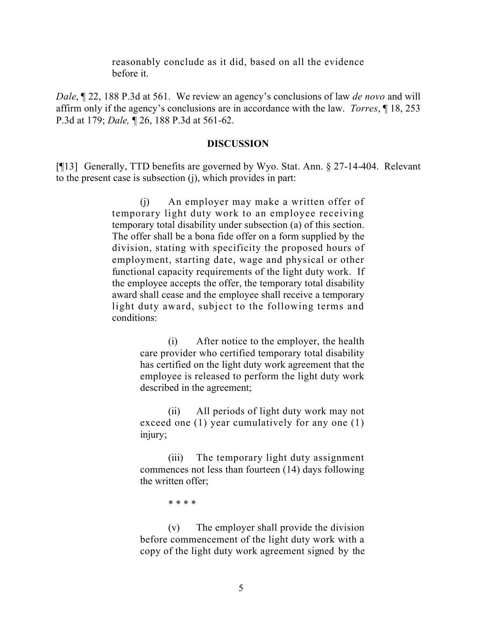reasonably conclude as it did, based on all the evidence before it.

*Dale*, ¶ 22, 188 P.3d at 561. We review an agency's conclusions of law *de novo* and will affirm only if the agency's conclusions are in accordance with the law. *Torres*, ¶ 18, 253 P.3d at 179; *Dale,* ¶ 26, 188 P.3d at 561-62.

#### **DISCUSSION**

[¶13] Generally, TTD benefits are governed by Wyo. Stat. Ann. § 27-14-404. Relevant to the present case is subsection (j), which provides in part:

> (j) An employer may make a written offer of temporary light duty work to an employee receiving temporary total disability under subsection (a) of this section. The offer shall be a bona fide offer on a form supplied by the division, stating with specificity the proposed hours of employment, starting date, wage and physical or other functional capacity requirements of the light duty work. If the employee accepts the offer, the temporary total disability award shall cease and the employee shall receive a temporary light duty award, subject to the following terms and conditions:

> > (i) After notice to the employer, the health care provider who certified temporary total disability has certified on the light duty work agreement that the employee is released to perform the light duty work described in the agreement;

> > (ii) All periods of light duty work may not exceed one (1) year cumulatively for any one (1) injury;

> > (iii) The temporary light duty assignment commences not less than fourteen (14) days following the written offer;

> > > \* \* \* \*

(v) The employer shall provide the division before commencement of the light duty work with a copy of the light duty work agreement signed by the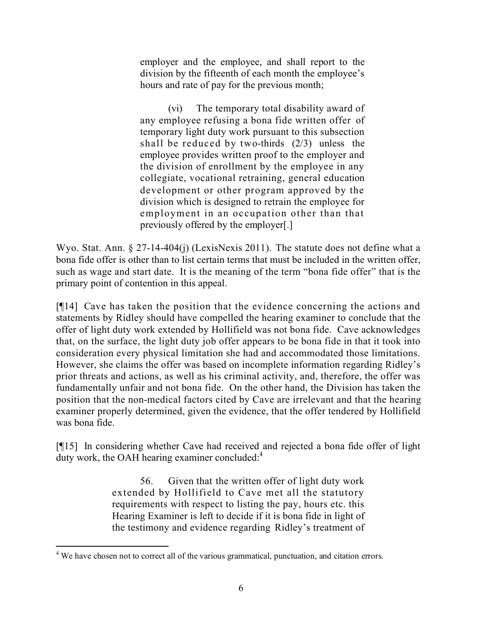employer and the employee, and shall report to the division by the fifteenth of each month the employee's hours and rate of pay for the previous month;

(vi) The temporary total disability award of any employee refusing a bona fide written offer of temporary light duty work pursuant to this subsection shall be reduced by two-thirds (2/3) unless the employee provides written proof to the employer and the division of enrollment by the employee in any collegiate, vocational retraining, general education development or other program approved by the division which is designed to retrain the employee for employment in an occupation other than that previously offered by the employer[.]

Wyo. Stat. Ann. § 27-14-404(j) (LexisNexis 2011). The statute does not define what a bona fide offer is other than to list certain terms that must be included in the written offer, such as wage and start date. It is the meaning of the term "bona fide offer" that is the primary point of contention in this appeal.

[¶14] Cave has taken the position that the evidence concerning the actions and statements by Ridley should have compelled the hearing examiner to conclude that the offer of light duty work extended by Hollifield was not bona fide. Cave acknowledges that, on the surface, the light duty job offer appears to be bona fide in that it took into consideration every physical limitation she had and accommodated those limitations. However, she claims the offer was based on incomplete information regarding Ridley's prior threats and actions, as well as his criminal activity, and, therefore, the offer was fundamentally unfair and not bona fide. On the other hand, the Division has taken the position that the non-medical factors cited by Cave are irrelevant and that the hearing examiner properly determined, given the evidence, that the offer tendered by Hollifield was bona fide.

[¶15] In considering whether Cave had received and rejected a bona fide offer of light duty work, the OAH hearing examiner concluded: $4$ 

> 56. Given that the written offer of light duty work extended by Hollifield to Cave met all the statutory requirements with respect to listing the pay, hours etc. this Hearing Examiner is left to decide if it is bona fide in light of the testimony and evidence regarding Ridley's treatment of

 <sup>4</sup> We have chosen not to correct all of the various grammatical, punctuation, and citation errors.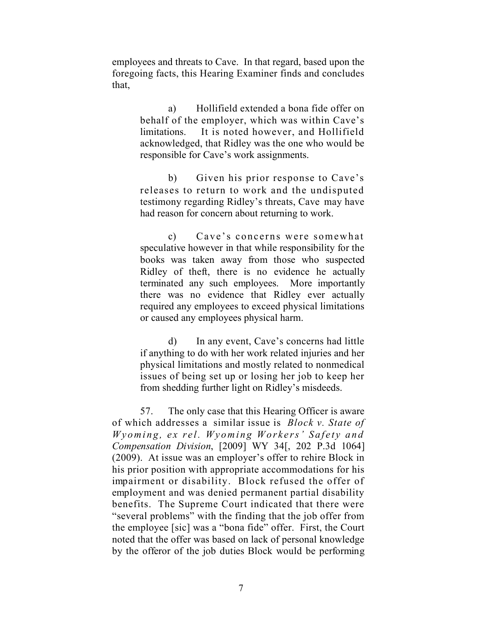employees and threats to Cave. In that regard, based upon the foregoing facts, this Hearing Examiner finds and concludes that,

> a) Hollifield extended a bona fide offer on behalf of the employer, which was within Cave's limitations. It is noted however, and Hollifield acknowledged, that Ridley was the one who would be responsible for Cave's work assignments.

> b) Given his prior response to Cave's releases to return to work and the undisputed testimony regarding Ridley's threats, Cave may have had reason for concern about returning to work.

> c) Cave's concerns were somewhat speculative however in that while responsibility for the books was taken away from those who suspected Ridley of theft, there is no evidence he actually terminated any such employees. More importantly there was no evidence that Ridley ever actually required any employees to exceed physical limitations or caused any employees physical harm.

> d) In any event, Cave's concerns had little if anything to do with her work related injuries and her physical limitations and mostly related to nonmedical issues of being set up or losing her job to keep her from shedding further light on Ridley's misdeeds.

57. The only case that this Hearing Officer is aware of which addresses a similar issue is *Block v. State of Wyoming, ex rel. Wyoming Workers' Safety and Compensation Division*, [2009] WY 34[, 202 P.3d 1064] (2009). At issue was an employer's offer to rehire Block in his prior position with appropriate accommodations for his impairment or disability. Block refused the offer of employment and was denied permanent partial disability benefits. The Supreme Court indicated that there were "several problems" with the finding that the job offer from the employee [sic] was a "bona fide" offer. First, the Court noted that the offer was based on lack of personal knowledge by the offeror of the job duties Block would be performing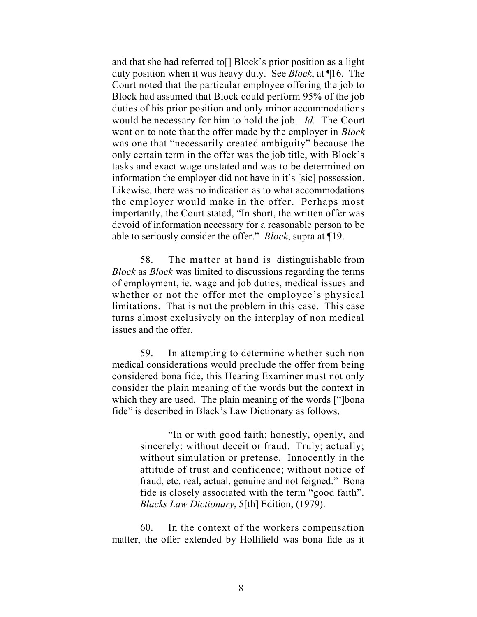and that she had referred to[] Block's prior position as a light duty position when it was heavy duty. See *Block*, at ¶16. The Court noted that the particular employee offering the job to Block had assumed that Block could perform 95% of the job duties of his prior position and only minor accommodations would be necessary for him to hold the job. *Id*. The Court went on to note that the offer made by the employer in *Block* was one that "necessarily created ambiguity" because the only certain term in the offer was the job title, with Block's tasks and exact wage unstated and was to be determined on information the employer did not have in it's [sic] possession. Likewise, there was no indication as to what accommodations the employer would make in the offer. Perhaps most importantly, the Court stated, "In short, the written offer was devoid of information necessary for a reasonable person to be able to seriously consider the offer." *Block*, supra at ¶19.

58. The matter at hand is distinguishable from *Block* as *Block* was limited to discussions regarding the terms of employment, ie. wage and job duties, medical issues and whether or not the offer met the employee's physical limitations. That is not the problem in this case. This case turns almost exclusively on the interplay of non medical issues and the offer.

59. In attempting to determine whether such non medical considerations would preclude the offer from being considered bona fide, this Hearing Examiner must not only consider the plain meaning of the words but the context in which they are used. The plain meaning of the words ["]bona fide" is described in Black's Law Dictionary as follows,

> "In or with good faith; honestly, openly, and sincerely; without deceit or fraud. Truly; actually; without simulation or pretense. Innocently in the attitude of trust and confidence; without notice of fraud, etc. real, actual, genuine and not feigned." Bona fide is closely associated with the term "good faith". *Blacks Law Dictionary*, 5[th] Edition, (1979).

60. In the context of the workers compensation matter, the offer extended by Hollifield was bona fide as it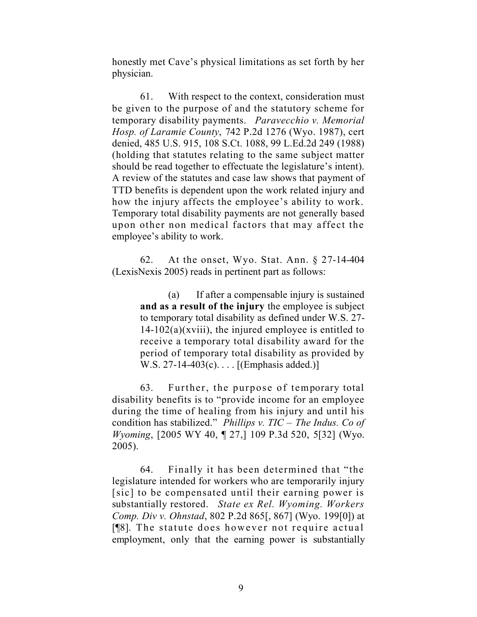honestly met Cave's physical limitations as set forth by her physician.

61. With respect to the context, consideration must be given to the purpose of and the statutory scheme for temporary disability payments. *Paravecchio v. Memorial Hosp. of Laramie County*, 742 P.2d 1276 (Wyo. 1987), cert denied, 485 U.S. 915, 108 S.Ct. 1088, 99 L.Ed.2d 249 (1988) (holding that statutes relating to the same subject matter should be read together to effectuate the legislature's intent). A review of the statutes and case law shows that payment of TTD benefits is dependent upon the work related injury and how the injury affects the employee's ability to work. Temporary total disability payments are not generally based upon other non medical factors that may affect the employee's ability to work.

62. At the onset, Wyo. Stat. Ann. § 27-14-404 (LexisNexis 2005) reads in pertinent part as follows:

> (a) If after a compensable injury is sustained **and as a result of the injury** the employee is subject to temporary total disability as defined under W.S. 27-  $14-102(a)(xviii)$ , the injured employee is entitled to receive a temporary total disability award for the period of temporary total disability as provided by W.S. 27-14-403(c).... [(Emphasis added.)]

63. Further, the purpose of temporary total disability benefits is to "provide income for an employee during the time of healing from his injury and until his condition has stabilized." *Phillips v. TIC – The Indus. Co of Wyoming*, [2005 WY 40, ¶ 27,] 109 P.3d 520, 5[32] (Wyo. 2005).

64. Finally it has been determined that "the legislature intended for workers who are temporarily injury [sic] to be compensated until their earning power is substantially restored. *State ex Rel. Wyoming. Workers Comp. Div v. Ohnstad*, 802 P.2d 865[, 867] (Wyo. 199[0]) at [¶8]. The statute does however not require actual employment, only that the earning power is substantially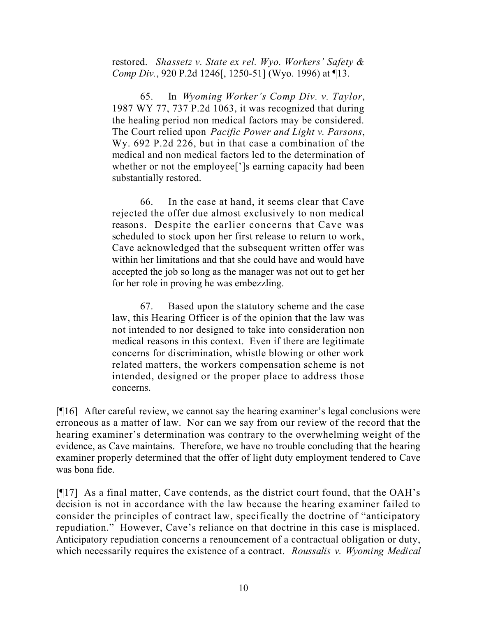restored. *Shassetz v. State ex rel. Wyo. Workers' Safety & Comp Div.*, 920 P.2d 1246[, 1250-51] (Wyo. 1996) at ¶13.

65. In *Wyoming Worker's Comp Div. v. Taylor*, 1987 WY 77, 737 P.2d 1063, it was recognized that during the healing period non medical factors may be considered. The Court relied upon *Pacific Power and Light v. Parsons*, Wy. 692 P.2d 226, but in that case a combination of the medical and non medical factors led to the determination of whether or not the employee[']s earning capacity had been substantially restored.

66. In the case at hand, it seems clear that Cave rejected the offer due almost exclusively to non medical reasons. Despite the earlier concerns that Cave was scheduled to stock upon her first release to return to work, Cave acknowledged that the subsequent written offer was within her limitations and that she could have and would have accepted the job so long as the manager was not out to get her for her role in proving he was embezzling.

67. Based upon the statutory scheme and the case law, this Hearing Officer is of the opinion that the law was not intended to nor designed to take into consideration non medical reasons in this context. Even if there are legitimate concerns for discrimination, whistle blowing or other work related matters, the workers compensation scheme is not intended, designed or the proper place to address those concerns.

[¶16] After careful review, we cannot say the hearing examiner's legal conclusions were erroneous as a matter of law. Nor can we say from our review of the record that the hearing examiner's determination was contrary to the overwhelming weight of the evidence, as Cave maintains. Therefore, we have no trouble concluding that the hearing examiner properly determined that the offer of light duty employment tendered to Cave was bona fide.

[¶17] As a final matter, Cave contends, as the district court found, that the OAH's decision is not in accordance with the law because the hearing examiner failed to consider the principles of contract law, specifically the doctrine of "anticipatory repudiation." However, Cave's reliance on that doctrine in this case is misplaced. Anticipatory repudiation concerns a renouncement of a contractual obligation or duty, which necessarily requires the existence of a contract. *Roussalis v. Wyoming Medical*